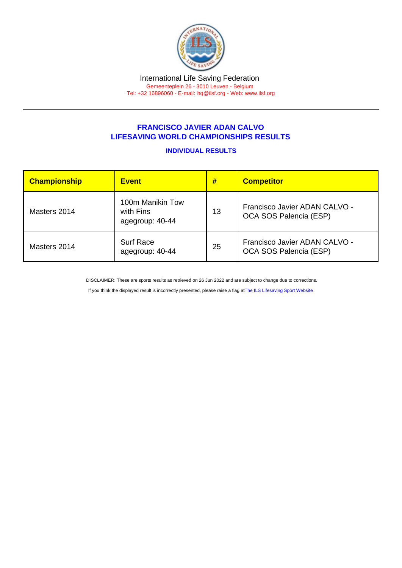## FRANCISCO JAVIER ADAN CALVO LIFESAVING WORLD CHAMPIONSHIPS RESULTS

## INDIVIDUAL RESULTS

| Championship | <b>Event</b>                                     | #  | <b>Competitor</b>                                       |
|--------------|--------------------------------------------------|----|---------------------------------------------------------|
| Masters 2014 | 100m Manikin Tow<br>with Fins<br>agegroup: 40-44 | 13 | Francisco Javier ADAN CALVO -<br>OCA SOS Palencia (ESP) |
| Masters 2014 | <b>Surf Race</b><br>agegroup: 40-44              | 25 | Francisco Javier ADAN CALVO -<br>OCA SOS Palencia (ESP) |

DISCLAIMER: These are sports results as retrieved on 26 Jun 2022 and are subject to change due to corrections.

If you think the displayed result is incorrectly presented, please raise a flag at [The ILS Lifesaving Sport Website.](https://sport.ilsf.org)